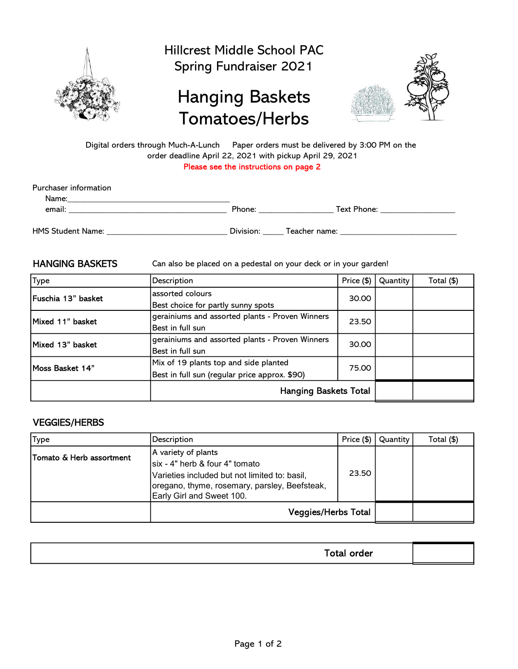

Hillcrest Middle School PAC Spring Fundraiser 2021

## Hanging Baskets Tomatoes/Herbs



Please see the instructions on page 2 Digital orders through Much-A-Lunch Paper orders must be delivered by 3:00 PM on the order deadline April 22, 2021 with pickup April 29, 2021

| Purchaser information    |           |               |
|--------------------------|-----------|---------------|
| Name:                    |           |               |
| email:                   | Phone:    | Text Phone:   |
| <b>HMS Student Name:</b> | Division: | Teacher name: |

HANGING BASKETS Can also be placed on a pedestal on your deck or in your garden!

| Type               | Description                                     | Price (\$) | Quantity | Total (\$) |
|--------------------|-------------------------------------------------|------------|----------|------------|
| Fuschia 13" basket | assorted colours                                | 30.00      |          |            |
|                    | Best choice for partly sunny spots              |            |          |            |
| Mixed 11" basket   | gerainiums and assorted plants - Proven Winners | 23.50      |          |            |
|                    | Best in full sun                                |            |          |            |
| Mixed 13" basket   | gerainiums and assorted plants - Proven Winners | 30.00      |          |            |
|                    | Best in full sun                                |            |          |            |
| Moss Basket 14"    | Mix of 19 plants top and side planted           | 75.00      |          |            |
|                    | Best in full sun (regular price approx. \$90)   |            |          |            |
|                    | <b>Hanging Baskets Total</b>                    |            |          |            |

## VEGGIES/HERBS

| Type                     | Description                                                                                                                                                                            | Price $(\$)$ | Quantity | Total (\$) |
|--------------------------|----------------------------------------------------------------------------------------------------------------------------------------------------------------------------------------|--------------|----------|------------|
| Tomato & Herb assortment | A variety of plants<br>Isix - 4" herb & four 4" tomato<br>Varieties included but not limited to: basil,<br>loregano, thyme, rosemary, parsley, Beefsteak,<br>Early Girl and Sweet 100. | 23.50        |          |            |
|                          | <b>Veggies/Herbs Total</b>                                                                                                                                                             |              |          |            |

| - - -<br>--<br>. |  |
|------------------|--|
|                  |  |
|                  |  |